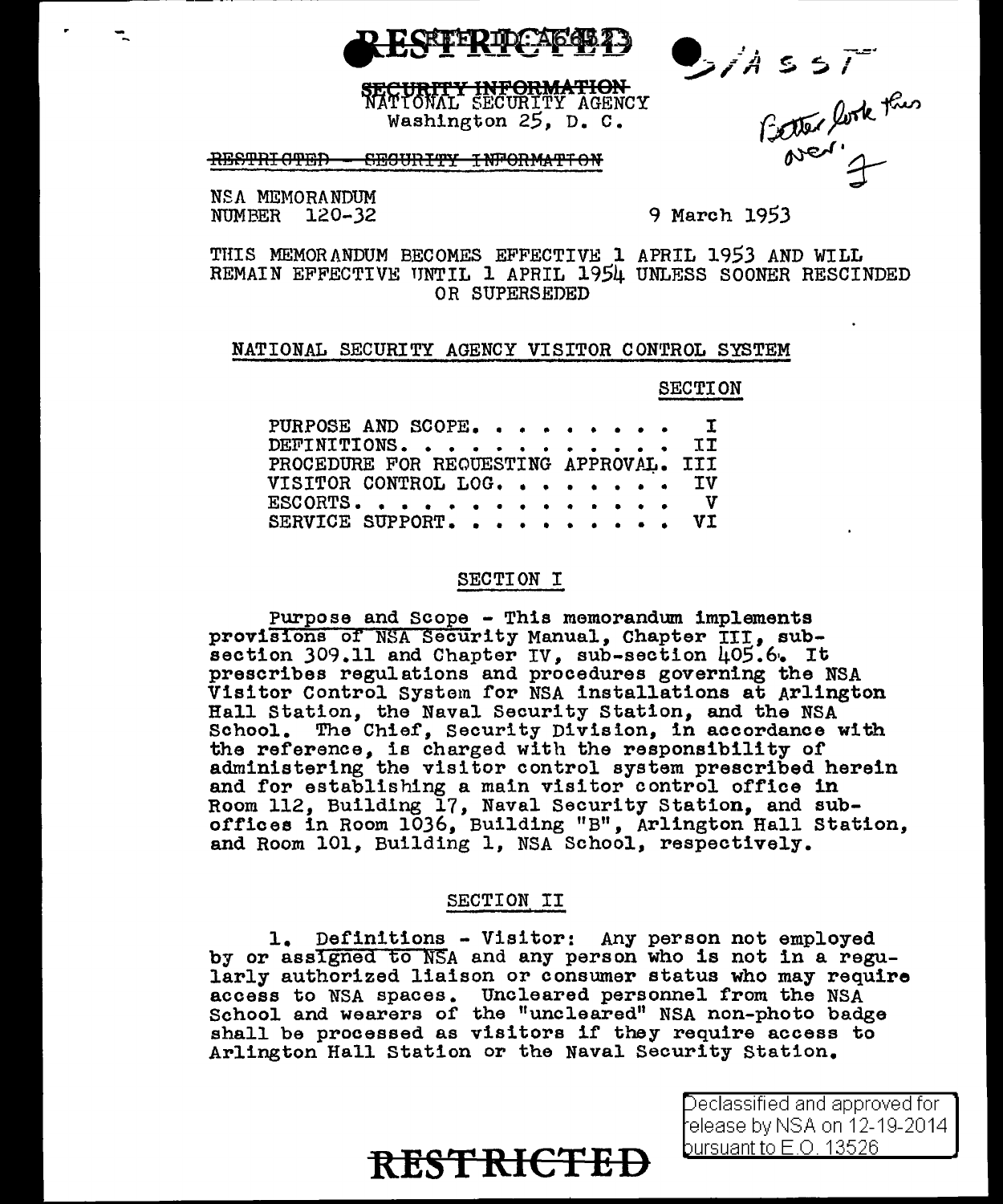

Side fork this

**ORMATION** URITY INFORMATION<br>LONAL SECURITY AGENCY Washington  $25$ , D. C.

#### **RESTRI OTED** WOTHANGTH THIUGH

NSA MEMORANDIM NUMBER 120-32

# 9 March 1953

THIS MEMORANDUM BECOMES EFFECTIVE 1 APRIL 1953 AND WILL REMAIN EFFECTIVE UNTIL 1 APRIL 1954 UNLESS SOONER RESCINDED OR SUPERSEDED

### NATIONAL SECURITY AGENCY VISITOR CONTROL SYSTEM

### **SECTION**

| PURPOSE AND SCOPE. I                   |  |
|----------------------------------------|--|
| DEFINITIONS. II                        |  |
| PROCEDURE FOR REQUESTING APPROVAL. III |  |
| VISITOR CONTROL LOG. IV                |  |
| ESCORTS. V                             |  |
| SERVICE SUPPORT. VI                    |  |

### SECTION I

Purpose and Scope - This memorandum implements provisions of NSA Security Manual, Chapter III, subsection  $309.11$  and Chapter IV, sub-section  $405.6$ . It prescribes regulations and procedures governing the NSA Visitor Control System for NSA installations at Arlington Hall Station, the Naval Security Station, and the NSA School. The Chief, Security Division, in accordance with the reference, is charged with the responsibility of administering the visitor control system prescribed herein and for establishing a main visitor control office in Room 112, Building 17, Naval Security Station, and suboffices in Room 1036, Building "B", Arlington Hall Station, and Room 101, Building 1, NSA School, respectively.

### SECTION II

1. Definitions - Visitor: Any person not employed by or assigned to NSA and any person who is not in a regularly authorized liaison or consumer status who may require access to NSA spaces. Uncleared personnel from the NSA School and wearers of the "uncleared" NSA non-photo badge shall be processed as visitors if they require access to Arlington Hall Station or the Naval Security Station.

# **RESTRICTED**

Declassified and approved for l elease by NSA on 12-19-2014. bursuant to  $E$  O  $13526$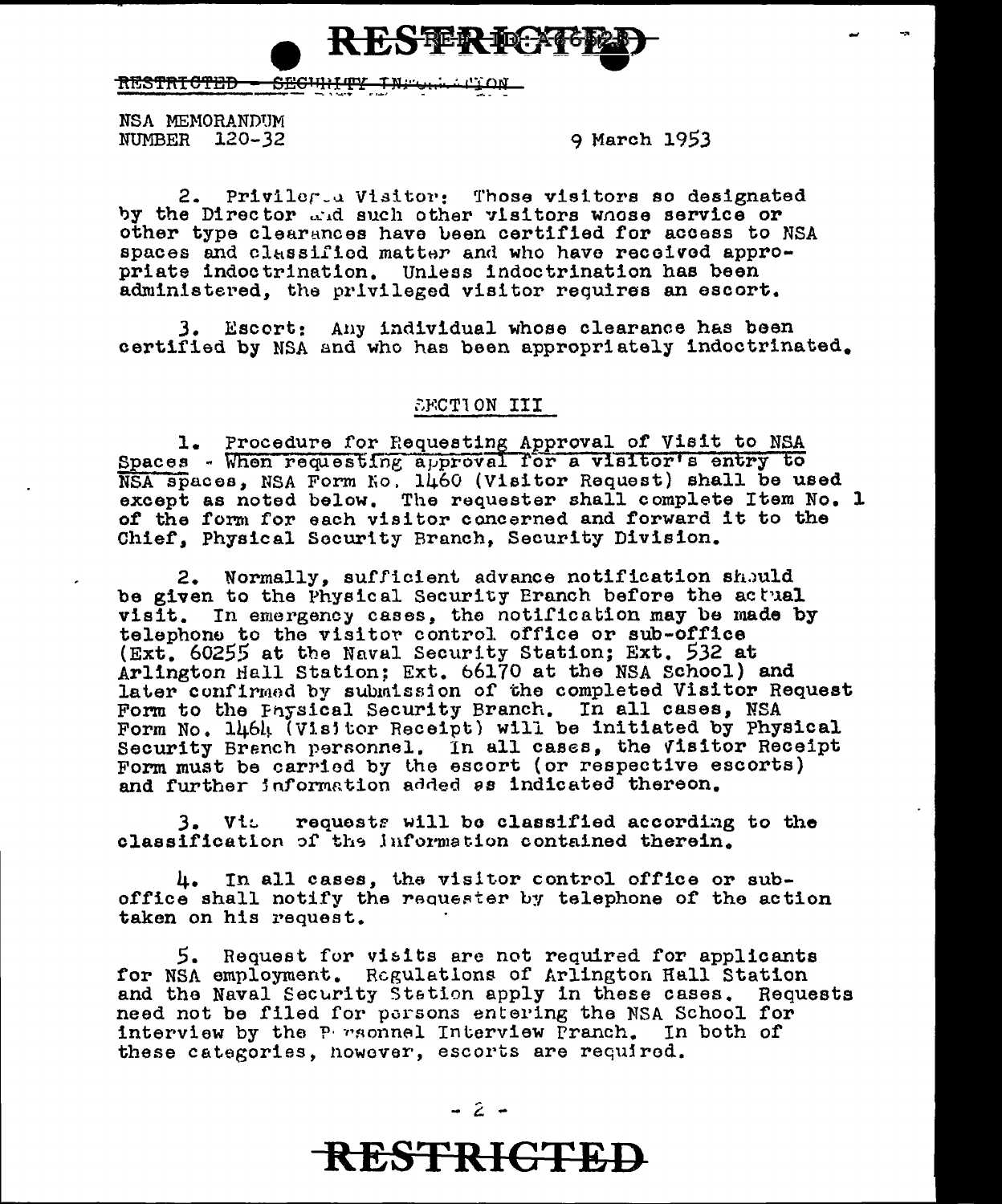

<del>RESTRICTED</del> **SECHH 447** ىبتى

NSA MEMORANDUM NUMBER 120-32

9 March 1953

Priviler a Visitor: Those visitors so designated  $2.$ by the Director and such other visitors whose service or other type clearances have been certified for access to NSA spaces and classified matter and who have received appropriate indoctrination. Unless indoctrination has been administered, the privileged visitor requires an escort.

3. Escort: Any individual whose clearance has been certified by NSA and who has been appropriately indoctrinated.

# SFCTION III

1. Procedure for Requesting Approval of Visit to NSA Spaces - When requesting approval for a visitor's entry to NSA spaces, NSA Form No. 1460 (Visitor Request) shall be used except as noted below. The requester shall complete Item No. 1 of the form for each visitor concerned and forward it to the Chief, Physical Security Branch, Security Division.

2. Normally, sufficient advance notification should be given to the Physical Security Eranch before the actual visit. In emergency cases, the notification may be made by telephone to the visitor control office or sub-office (Ext. 60255 at the Naval Security Station; Ext. 532 at Arlington Hall Station: Ext. 66170 at the NSA School) and later confirmed by submission of the completed Visitor Request Form to the Physical Security Branch. In all cases, NSA Form No. 1464 (Visitor Receipt) will be initiated by Physical Security Branch personnel. In all cases, the Visitor Receipt Form must be carried by the escort (or respective escorts) and further information added as indicated thereon.

3. Vit requests will be classified according to the classification of the information contained therein.

4. In all cases, the visitor control office or suboffice shall notify the requester by telephone of the action taken on his request.

5. Request for visits are not required for applicants for NSA employment. Regulations of Arlington Hall Station and the Naval Security Station apply in these cases. Requests need not be filed for persons entering the NSA School for interview by the P rsonnel Interview Pranch. In both of these categories, however, escorts are required.

**RESTRICTED**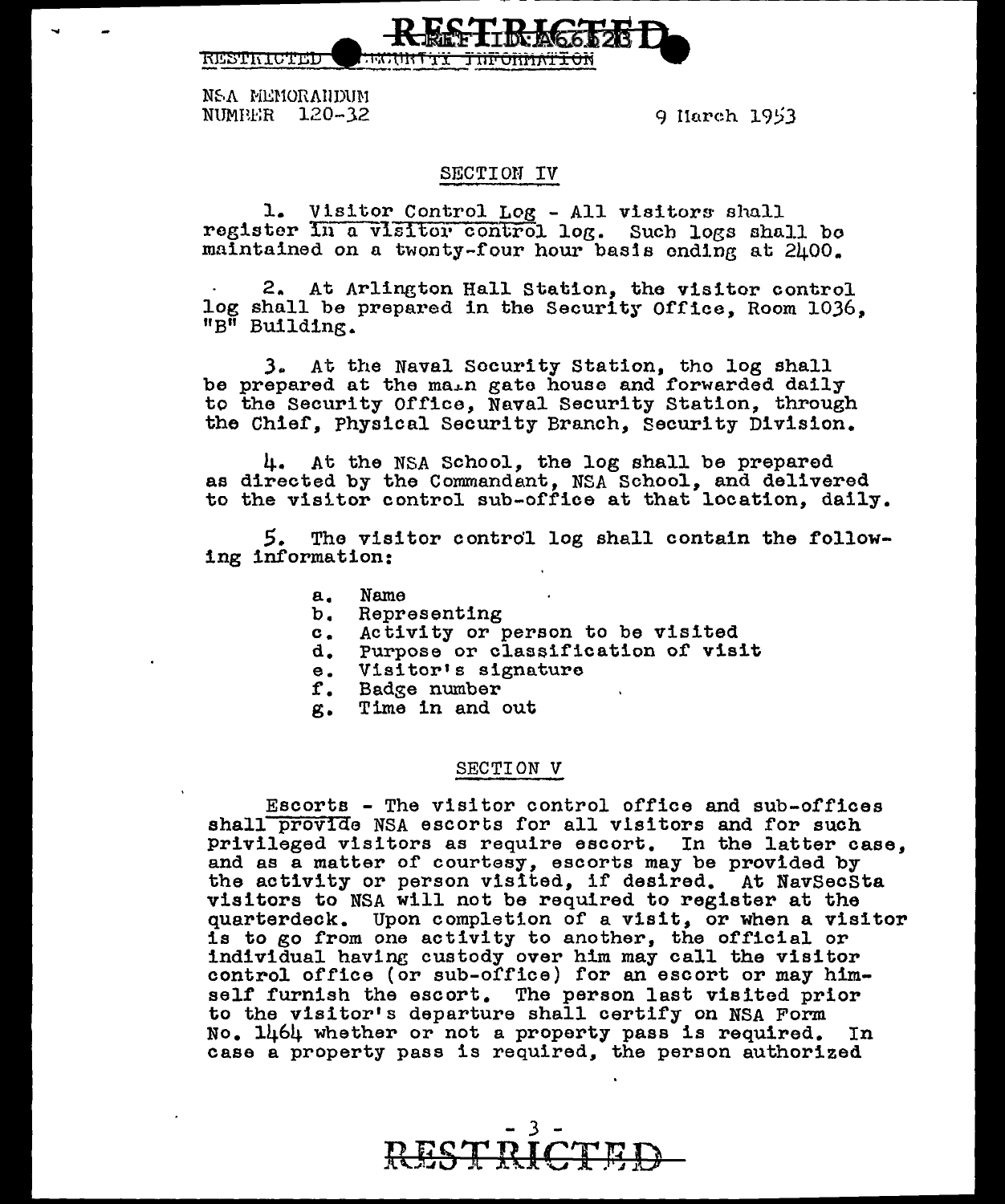

9 Harch 1953

### SECTION IV

1. Visitor Control Log - All visitors shall register In a visitor control log. Such logs shall be maintained on a twonty-four hour basis ending at 2400.

2. At Arlington Hall Station, the visitor control log shall be prepared in the Security Office, Room 1036, "B" Building.

3. At the Naval Security Station, the log shall be prepared at the main gate house and forwarded daily to the Security Office, Naval Security Station, through the Chief. Physical Security Branch. Security Division.

4. At the NSA School, the log shall be prepared as directed by the Commandant, NSA School, and delivered to the visitor control sub-office at that location, daily.

The visitor control log shall contain the follow-5. ing information:

- $\mathbf{a}_{\bullet}$ Name
- $b_{\bullet}$ Representing
- c. Activity or person to be visited
- d. Purpose or classification of visit
- $e<sub>1</sub>$ Visitor's signature
- f. Badge number
- Time in and out g.

### SECTION V

Escorts - The visitor control office and sub-offices shall provide NSA escorts for all visitors and for such privileged visitors as require escort. In the latter case, and as a matter of courtesy, escorts may be provided by the activity or person visited, if desired. At NavSecSta visitors to NSA will not be required to register at the quarterdeck. Upon completion of a visit, or when a visitor is to go from one activity to another, the official or individual having custody over him may call the visitor control office (or sub-office) for an escort or may himself furnish the escort. The person last visited prior to the visitor's departure shall certify on NSA Form No. 1464 whether or not a property pass is required. In case a property pass is required, the person authorized